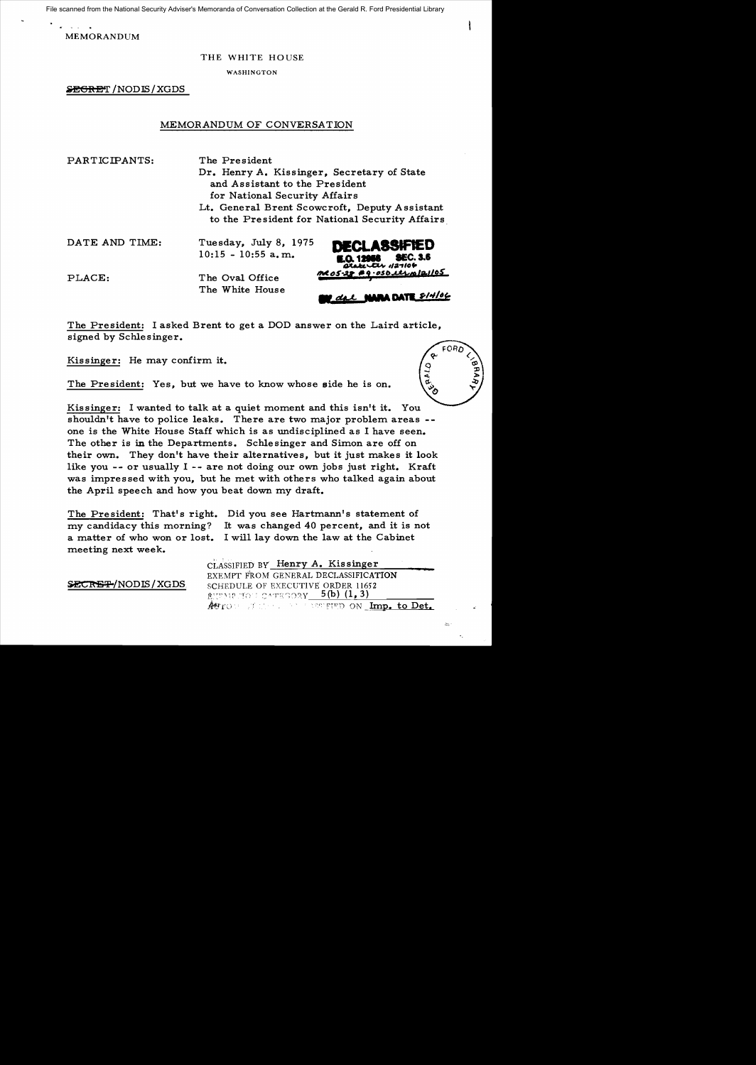File scanned from the National Security Adviser's Memoranda of Conversation Collection at the Gerald R. Ford Presidential Library

MEMORANDUM

## THE WHITE HOUSE

WASHINGTON

**&EGRET /NODIS / XGDS** 

## MEMORANDUM OF CONVERSATION

PARTICIPANTS: The President

Dr. Henry A. Kissinger, Secretary of State and Assistant to the President for National Security Affairs

Lt. General Brent Scowcroft, Deputy Assistant to the President for National Security Affairs

DATE AND TIME: Tuesday, July 8, 1975  $10:15 - 10:55$  a.m. PLACE: The Oval Office The White House **A DATE SIMOL** 

The President: I asked Brent to get a DOD answer on the Laird article, signed by Schlesinger.

Kissinger: He may confirm it.

The President: Yes, but we have to know whose side he is on.

Kissinger: I wanted to talk at a quiet moment and this isn't it. You shouldn't have to police leaks. There are two major problem areas -one is the White House Staff which is as undisciplined as I have seen. The other is in the Departments. Schlesinger and Simon are off on their own. They don't have their alternatives, but it just makes it look like you -- or usually I -- are not doing our own jobs just right. Kraft was impressed with you, but he met with others who talked again about the April speech and how you beat down my draft.

The President: That's right. Did you see Hartmann's statement of my candidacy this morning? It was changed 40 percent, and it is not a matter of who won or lost. I will lay down the law at the Cabinet meeting next week.

CLASSIFIED BY Henry A. Kis singer EXEMPT FROM GENERAL DECLASSIFICATION **SECRET/NODIS/XGDS.** SCHEDULE OF EXECUTIVE ORDER 11652  $\frac{\text{RUTME}}{\text{AHTO}}$  ;  $\frac{\text{SUTO}}{\text{AHTO}}$  ;  $\frac{\text{SUTO}}{\text{AHTO}}$  on  $\frac{\text{Im}{\text{D}}}{\text{Im}{\text{D}}_2}$  to  $\frac{\text{D}}{\text{D}}$ 



 $\approx$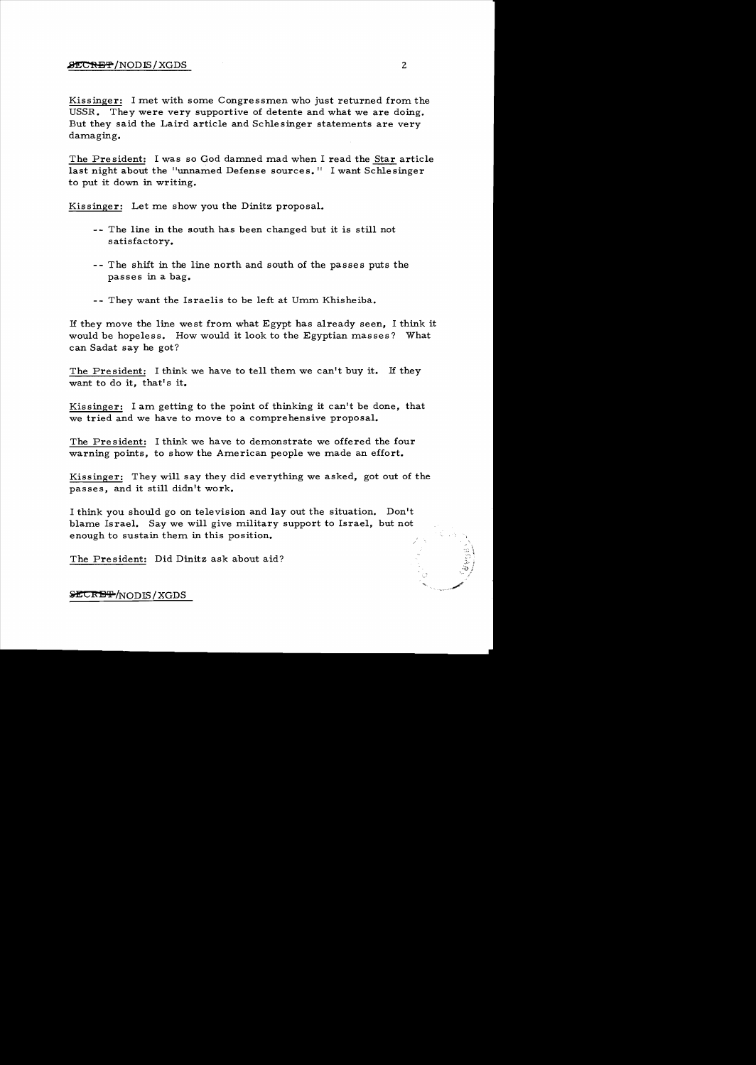## ~/NODIS/XGDS 2

Kissinger: I met with some Congressmen who just returned from the USSR. They were very supportive of detente and what we are doing. But they said the Laird article and Schlesinger statements are very damaging.

The President: I was so God damned mad when I read the Star article last night about the "unnamed Defense sources." I want Schlesinger to put it down in writing.

Kissinger: Let me show you the Dinitz proposal.

- -- The line in the south has been changed but it is still not satisfactory.
- -- The shift in the line north and south of the passes puts the passes in a bag.
- -- They want the Israelis to be left at Umm Khisheiba.

1£ they move the line west from what Egypt has already seen, I think it would be hopeless. How would it look to the Egyptian masses? What can Sadat say he got?

The President: I think we have to tell them we can't buy it. If they want to do it, that's it.

Kissinger: I am getting to the point of thinking it can't be done, that we tried and we have to move to a comprehensive proposal.

The President: I think we have to demonstrate we offered the four warning points, to show the American people we made an effort.

Kissinger: They will say they did everything we asked, got out of the passes, and it still didn't work.

I think you should go on television and layout the situation. Don't blame Israel. Say we will give military support to Israel, but not enough to sustain them in this position.

The President: Did Dinitz ask about aid?

**SECRET/NODIS/XGDS** 

 $\ddot{+}$  :  $\rightarrow$  ;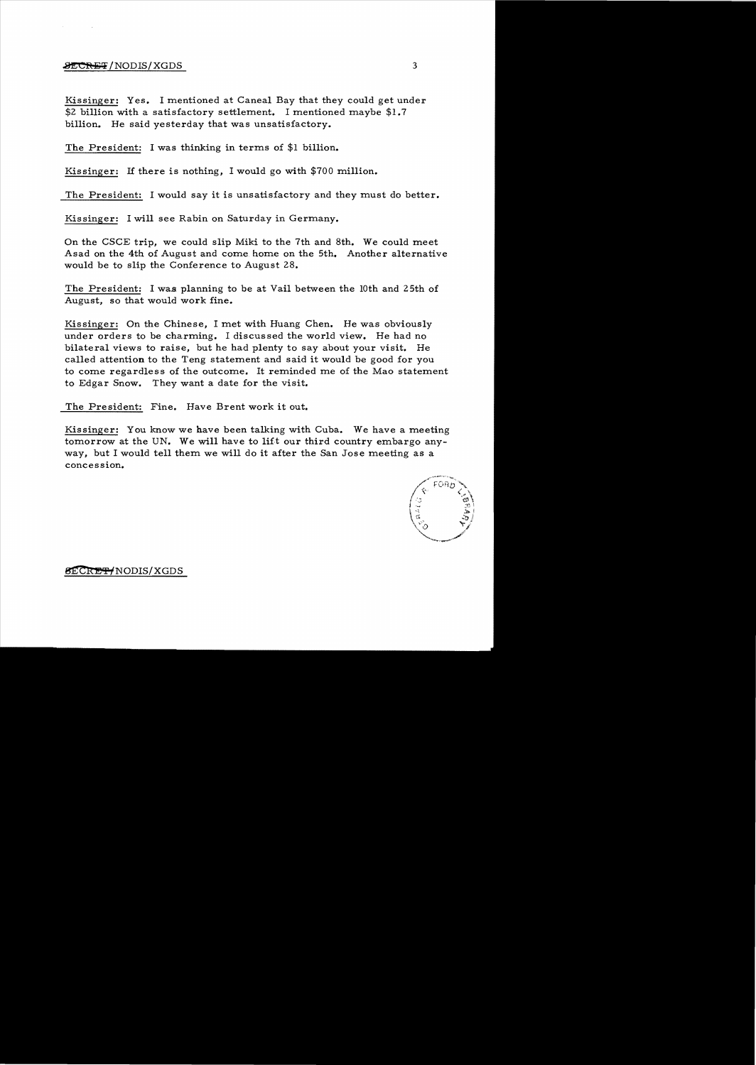## **.8ECRET**/NODIS/XGDS 3

Kissinger: Yes. I mentioned at Caneal Bay that they could get under \$2 billion with a satisfactory settlement. I mentioned maybe \$1.7 billion. He said yesterday that was unsatisfactory.

The President: I was thinking in terms of \$1 billion.

Kissinger: If there is nothing, I would go with \$700 million.

The President: I would say it is unsatisfactory and they must do better.

Kissinger: I will see Rabin on Saturday in Germany.

On the CSCE trip, we could slip Miki to the 7th and 8th. We could meet Asad on the 4th of August and come. home on the 5th. Another alternative would be to slip the Conference to August 28.

The President: I was planning to be at Vail between the 10th and 25th of August, so that would work fine.

Kissinger: On the Chinese, I met with Huang Chen. He was obviously under orders to be charming. I discussed the world view. He had no bilateral views to raise, but he had plenty to say about your visit. He called attention to the Teng statement and said it would be good for you to come regardless of the outcome. It reminded me of the Mao statement to Edgar Snow. They want a date for the visit.

The President: Fine. Have Brent work it out.

Kissinger: You know we have been talking with Cuba. We have a meeting tomorrow at the UN. We will have to lift our third country embargo anyway, but I would tell them we will do it after the San Jose meeting as a concession.



**SECRET/NODIS/XGDS**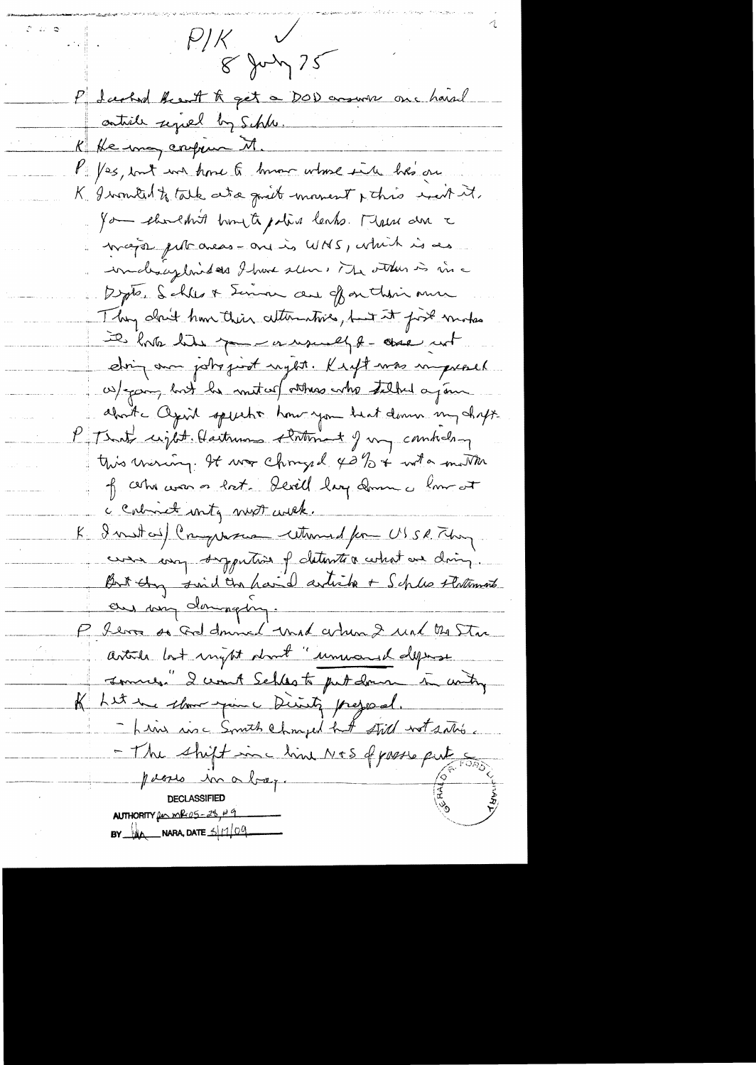$P/K$  $8 \mu\$ P darked Breat to get a DOD around one hard ontill sepred by Schle. K He may confirm M. VI /es, but we have to know where in he's one K Iwomited to talk as a guilt moment & this west it. you shouldn't trought police lanks. There are a magin put areas - are is WNS, which is als imaliaisplanides I have seen, The other is in a Depter Schles & Seman au of on their me They alcuit have their attenutives, but it first modes it hat like the me a would be one not dring our jobs just reget. Kigt was unpressed w) yours but he united atthes who talked a join about agril speecht how you heat down my chapt. P That unit Hartman that I my comment this winning. It was chonged 42% + with mother of certain on lost. Sevill lay down a low at a Calmiet unty must with. K I metal Crywan without for USSR They commence proportion of determine a certain drive But they said the haid article + Schles Flattements and my dominating. P. Server so God donned und artun 2 und the Star article last ingthe dront" unward depose sommer." I won't Schles to put down in writing Let une chour example Divinty prejonnel.<br>- Line ause South Changed hat still wot satisfie  $\mathbb{K}_{-}$ - The shift inc lime N+S of passe put so poeses in a bap. **DECLASSIFIED** AUTHORITY for  $mR-05-28$ ,  $89$ BY  $\mu$  NARA, DATE  $\frac{1}{109}$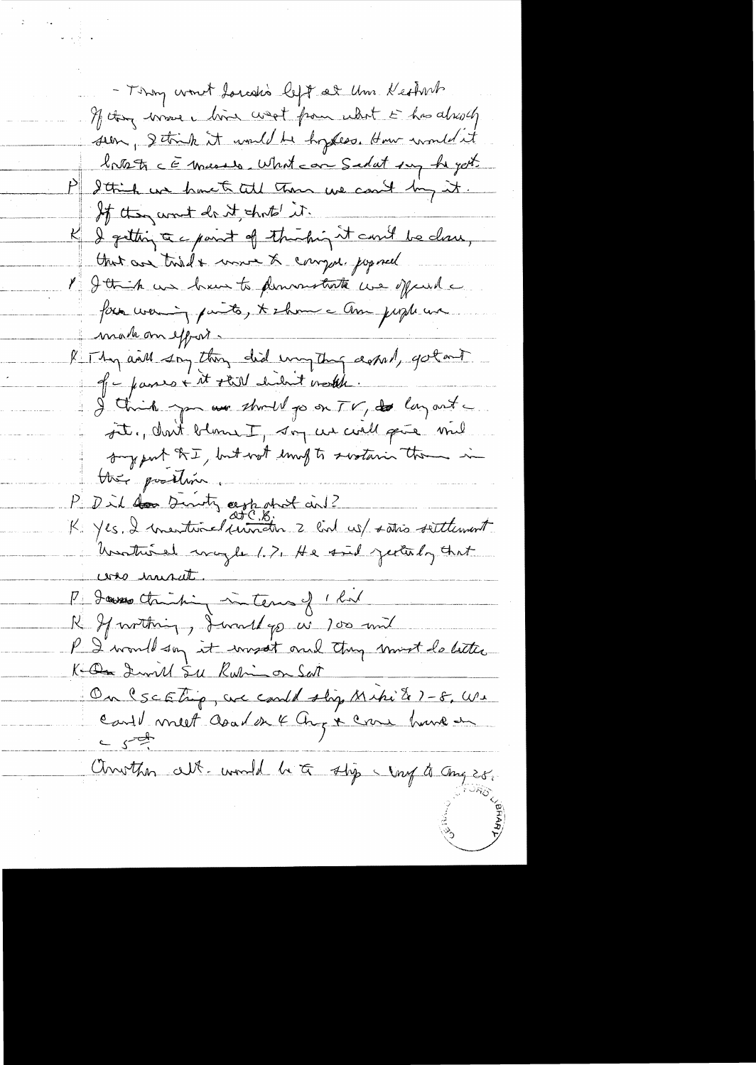- Thony won't torealis left at Um. Kethirb If they wave him west from what is has already seen, I think it und he hysess. How wouldn't broots comments, what can Sedat my hegot. P I think we have to tell then we could by it. If they want do it shots it. K I getting a c paint of thishing it could be closed, that are tried & move & compute joymed I I think we have to permountants we offered a for waring parts, & show a Am people we makon effort-R Thy and say they did unique and, gotant of - passes + it still helsent worth. I think you are should go on TV, to lay out st, don't blown I, say us well give mel support the, but wot long to swatarin them in they postion P Did don Sinisty appealed and 2 and 12 Unothered maybe 1.7, He said jectuly that was invited. P. Jans Christin internal 1 hr R Sprotting, Jurallys w 100 and P. I would say it was it and they must do little Ke On Iwill Su Kuli on Sat On Escating, are could slig Miki & 1-8, We Carl meet aoud en 4 Aug x crue hune en Conother alt-would be to stop my to any 28.